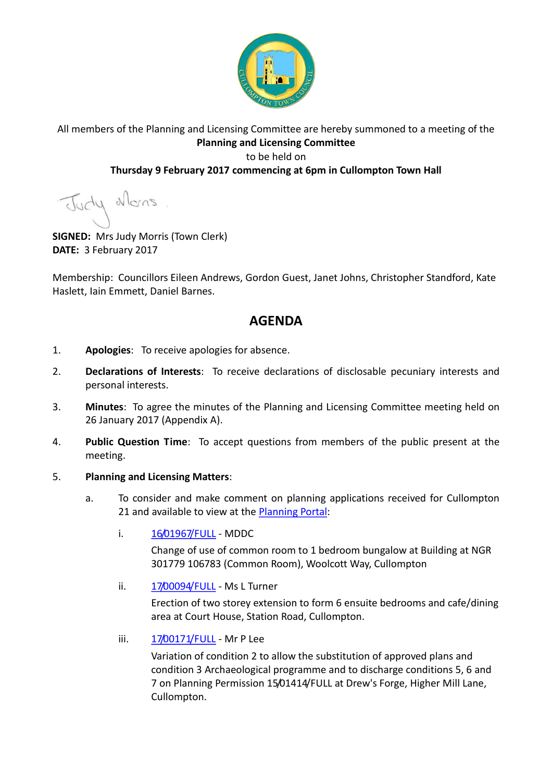

### All members of the Planning and Licensing Committee are hereby summoned to a meeting of the **Planning and Licensing Committee** to be held on

### **Thursday 9 February 2017 commencing at 6pm in Cullompton Town Hall**

Judy Mons

**SIGNED:** Mrs Judy Morris (Town Clerk) **DATE:** 3 February 2017

Membership: Councillors Eileen Andrews, Gordon Guest, Janet Johns, Christopher Standford, Kate Haslett, Iain Emmett, Daniel Barnes.

# **AGENDA**

- 1. **Apologies**: To receive apologies for absence.
- 2. **Declarations of Interests**: To receive declarations of disclosable pecuniary interests and personal interests.
- 3. **Minutes**: To agree the minutes of the Planning and Licensing Committee meeting held on 26 January 2017 (Appendix A).
- 4. **Public Question Time**: To accept questions from members of the public present at the meeting.

#### 5. **Planning and Licensing Matters**:

- a. To consider and make comment on planning applications received for Cullompton 21 and available to view at the **Planning Portal:** 
	- i. [16/01967/FULL](https://planning.middevon.gov.uk/online-applications/applicationDetails.do?activeTab=documents&keyVal=OIMUQHKS07T00) MDDC

Change of use of common room to 1 bedroom bungalow at Building at NGR 301779 106783 (Common Room), Woolcott Way, Cullompton

ii. [17/00094/FULL](https://planning.middevon.gov.uk/online-applications/applicationDetails.do?activeTab=documents&keyVal=OK0RUMKS05K00) - Ms L Turner

Erection of two storey extension to form 6 ensuite bedrooms and cafe/dining area at Court House, Station Road, Cullompton.

iii. [17/00171/FULL](https://planning.middevon.gov.uk/online-applications/applicationDetails.do?activeTab=documents&keyVal=OKP2ZMKS05K00) - Mr P Lee

Variation of condition 2 to allow the substitution of approved plans and condition 3 Archaeological programme and to discharge conditions 5, 6 and 7 on Planning Permission 15/01414/FULL at Drew's Forge, Higher Mill Lane, Cullompton.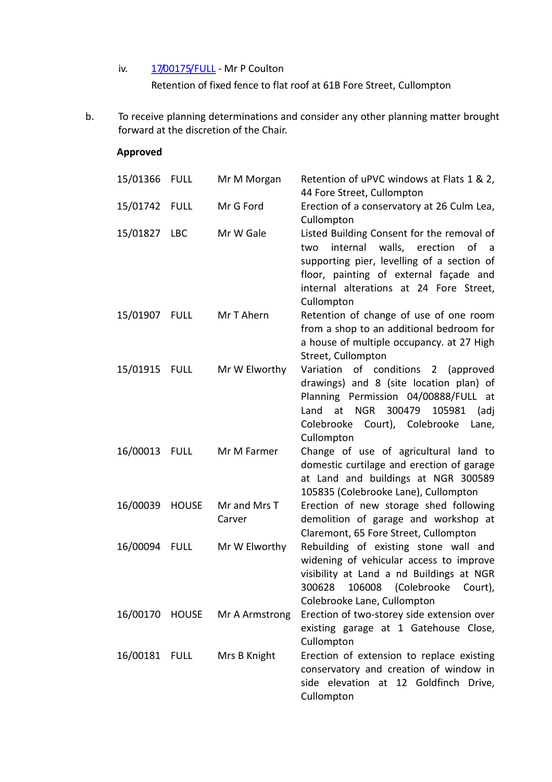## iv. [17/00175/FULL](https://planning.middevon.gov.uk/online-applications/applicationDetails.do?activeTab=documents&keyVal=OKPDOZKS04G00) - Mr P Coulton Retention of fixed fence to flat roof at 61B Fore Street, Cullompton

b. To receive planning determinations and consider any other planning matter brought forward at the discretion of the Chair.

#### **Approved**

| 15/01366 FULL |              | Mr M Morgan            | Retention of uPVC windows at Flats 1 & 2,<br>44 Fore Street, Cullompton                                                                                                                                                                                   |
|---------------|--------------|------------------------|-----------------------------------------------------------------------------------------------------------------------------------------------------------------------------------------------------------------------------------------------------------|
| 15/01742 FULL |              | Mr G Ford              | Erection of a conservatory at 26 Culm Lea,<br>Cullompton                                                                                                                                                                                                  |
| 15/01827 LBC  |              | Mr W Gale              | Listed Building Consent for the removal of<br>internal<br>walls, erection<br>0f<br>two<br>$\overline{a}$<br>supporting pier, levelling of a section of<br>floor, painting of external façade and<br>internal alterations at 24 Fore Street,<br>Cullompton |
| 15/01907 FULL |              | Mr T Ahern             | Retention of change of use of one room<br>from a shop to an additional bedroom for<br>a house of multiple occupancy. at 27 High<br>Street, Cullompton                                                                                                     |
| 15/01915      | <b>FULL</b>  | Mr W Elworthy          | Variation of conditions 2 (approved<br>drawings) and 8 (site location plan) of<br>Planning Permission 04/00888/FULL at<br>300479<br>at<br><b>NGR</b><br>105981<br>Land<br>(adj<br>Colebrooke Court), Colebrooke<br>Lane,<br>Cullompton                    |
| 16/00013 FULL |              | Mr M Farmer            | Change of use of agricultural land to<br>domestic curtilage and erection of garage<br>at Land and buildings at NGR 300589<br>105835 (Colebrooke Lane), Cullompton                                                                                         |
| 16/00039      | <b>HOUSE</b> | Mr and Mrs T<br>Carver | Erection of new storage shed following<br>demolition of garage and workshop at<br>Claremont, 65 Fore Street, Cullompton                                                                                                                                   |
| 16/00094 FULL |              | Mr W Elworthy          | Rebuilding of existing stone wall and<br>widening of vehicular access to improve<br>visibility at Land a nd Buildings at NGR<br>300628 106008 (Colebrooke Court),<br>Colebrooke Lane, Cullompton                                                          |
| 16/00170      | <b>HOUSE</b> | Mr A Armstrong         | Erection of two-storey side extension over<br>existing garage at 1 Gatehouse Close,<br>Cullompton                                                                                                                                                         |
| 16/00181 FULL |              | Mrs B Knight           | Erection of extension to replace existing<br>conservatory and creation of window in<br>side elevation at 12 Goldfinch Drive,<br>Cullompton                                                                                                                |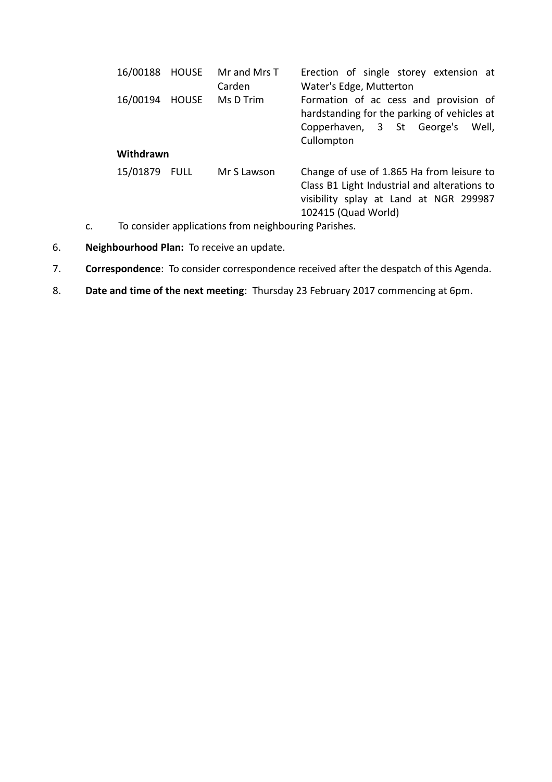| 16/00188 HOUSE           | Mr and Mrs T<br>Carden | Erection of single storey extension at<br>Water's Edge, Mutterton                                                                                          |  |  |
|--------------------------|------------------------|------------------------------------------------------------------------------------------------------------------------------------------------------------|--|--|
| 16/00194<br><b>HOUSE</b> | Ms D Trim              | Formation of ac cess and provision of<br>hardstanding for the parking of vehicles at<br>Copperhaven, 3 St George's<br>Well,<br>Cullompton                  |  |  |
| Withdrawn                |                        |                                                                                                                                                            |  |  |
| 15/01879 FULL            | Mr S Lawson            | Change of use of 1.865 Ha from leisure to<br>Class B1 Light Industrial and alterations to<br>visibility splay at Land at NGR 299987<br>102415 (Quad World) |  |  |

- c. To consider applications from neighbouring Parishes.
- 6. **Neighbourhood Plan:** To receive an update.
- 7. **Correspondence**: To consider correspondence received after the despatch of this Agenda.
- 8. **Date and time of the next meeting**: Thursday 23 February 2017 commencing at 6pm.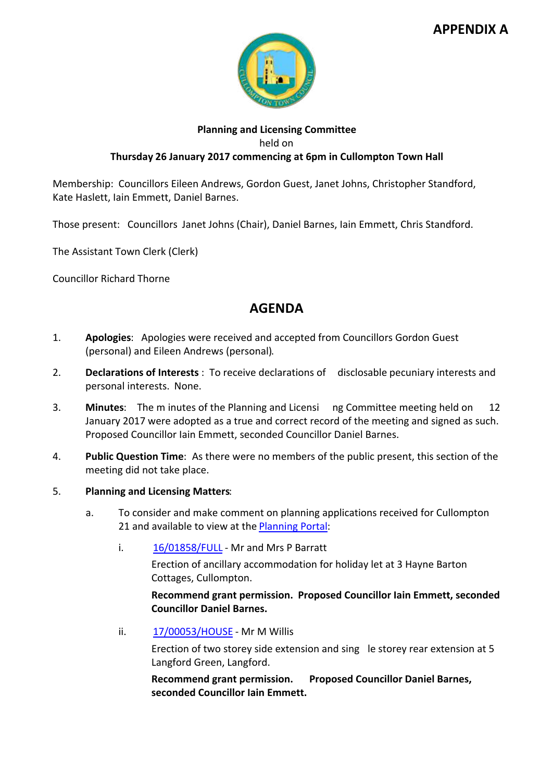## **APPENDIX A**



#### **Planning and Licensing Committee** held on **Thursday 26 January 2017 commencing at 6pm in Cullompton Town Hall**

Membership: Councillors Eileen Andrews, Gordon Guest, Janet Johns, Christopher Standford, Kate Haslett, Iain Emmett, Daniel Barnes.

Those present: Councillors Janet Johns (Chair), Daniel Barnes, Iain Emmett, Chris Standford.

The Assistant Town Clerk (Clerk)

Councillor Richard Thorne

# **AGENDA**

- 1. **Apologies**: Apologies were received and accepted from Councillors Gordon Guest (personal) and Eileen Andrews (personal).
- 2. **Declarations of Interests** : To receive declarations of disclosable pecuniary interests and personal interests. None.
- 3. **Minutes**: The m inutes of the Planning and Licensi ng Committee meeting held on 12 January 2017 were adopted as a true and correct record of the meeting and signed as such. Proposed Councillor Iain Emmett, seconded Councillor Daniel Barnes.
- 4. **Public Question Time**: As there were no members of the public present, this section of the meeting did not take place.
- 5. **Planning and Licensing Matters**:
	- a. To consider and make comment on planning applications received for Cullompton 21 and available to view at the [Planning Portal](https://planning.middevon.gov.uk/online-applications/applicationDetails.do?activeTab=documents&keyVal=OG45QSKS07T00):
		- i. [16/01858/FULL](https://planning.middevon.gov.uk/online-applications/simpleSearchResults.do?action=firstPage) Mr and Mrs P Barratt

Erection of ancillary accommodation for holiday let at 3 Hayne Barton Cottages, Cullompton.

**Recommend grant permission. Proposed Councillor Iain Emmett, seconded Councillor Daniel Barnes.**

ii. [17/00053/HOUSE](https://planning.middevon.gov.uk/online-applications/simpleSearchResults.do?action=firstPage) - Mr M Willis

Erection of two storey side extension and sing le storey rear extension at 5 Langford Green, Langford.

**Recommend grant permission. Proposed Councillor Daniel Barnes, seconded Councillor Iain Emmett.**